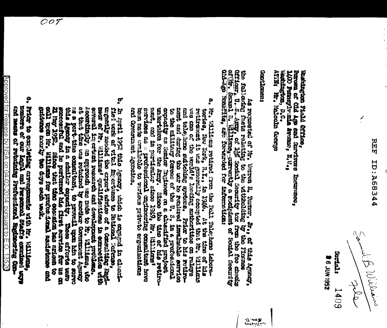i<br>S

معنعطاته (بالا كل بالمستوجع let 1

**Sortal:** 2561 NOP 9 **1409** 

Hasharkan, D.C.<br>ATH: Nr., Malcolm Goorge fen Pommylward avenue Richt Persons on Old Age and Survivore Instruments kaitnessen Plald britten,

turn Links

he followsted of H. Kerne I. Runne, A., at the length grand; (Finally and the blood). The second control of the second control of the second of the second of the second of the second of the second of the second of the seco

amaillini<br>J. 1962

- a, Williams returns from the DL Tale, and the concentration of his particular concentration of the contract of the concentration of the concentration of the concentration of the concentration of the concentration of the c crd Governord, Agencies. excitos as a profesional enginesinas canalitati have
- b, in costly and expect the second in classical indication in the second contribute in the second tensor in the contribute of a Consulting corresponding to the contribute of a consulting of the contribute of a contribute Ţ
- e. Price of complete photographs ut a signal complete of the second of the complete of the complete of the complete of the complete of the complete of the complete of the complete of the complete of the complete of the com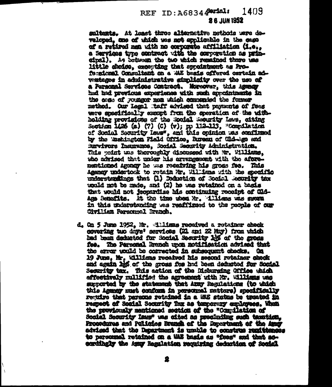## REF ID: A6834 Parial: 1409 **26 JUN 1952**

sultants. At least three alternative methods were developed, one of which was not evaluable in the case of a retired men with no corporate affiliation (1.e., a Sarvices twee contract with the corporation as withcinal). As between the two which remained there use little choice, croopting that sprointment as Profacaional Consultant on a WAE basis offered cortain adwateses in administrative simulativ over the use of a Personal Services Contract. Moreover, this Agency hed hed previous experience with such appeninguite in the cose of regions men shiel companied the former method. Our legal taff advised that payments of fees ware apsoidedly exact from the genetics of the withholding provisions of the Social Seastly Law, citing Section 1426 (a) (7) (C) (v); pp 112-113, "Compilation of Social Security leas", and this opinion was confirmed by the 'metington Field Office, Ruess of Cld-bge and Marivors hamants, Social Security Admistration. This wint us theroughly discussed with W. Williams. the advised that under his avvenuescent with the aforementioned among he was readying his gross fee. This Assney undertook to retain Mr. Willens with the specific ministratings that (1) Dehotion of Rocial Routity to: upald not be mede, and (2) he was retained on a basis that would not fecontriles his continuing receive of Old-Age Remadits. It the time shed Mr. 411 issue was sworm in this price of o beatting we reflicted to the Civilian Rarsonnel Branch.

d. On 5 Aws 1952, Mr. 411issa received a retainer absok covering two days' services (21 and 22 May) from which had been deducted for Social Seconity 1% of the gross fee. The Personal Branch under notifieation advised that the error wald be corrected in subsequent checks. Ca 19 June, Mr. Williams received his second retainer check and again has of the gross fee had been deducted for Social Security tax. This action of the Maturging Office which effectively mulified the agreement with Mr. Willems was superted by the statement that Army Regulations (to which this Ageney must conform in personnel matters) specifically require that parsons retained in a 202 status be treated in regnest of Social Socurity fax as temporary emigrees. When the previously mentioned section of the "Comulation of Social Security Imag" was cited as usedinding such taxation. Procedures and Policies Branch of the Reportment of the Amer adviged that the Department is unstile to construe renitionses to personal retained on a till basis as "fees" and that ascordingly the Amuy Hamilation requiring deduction of Social

١